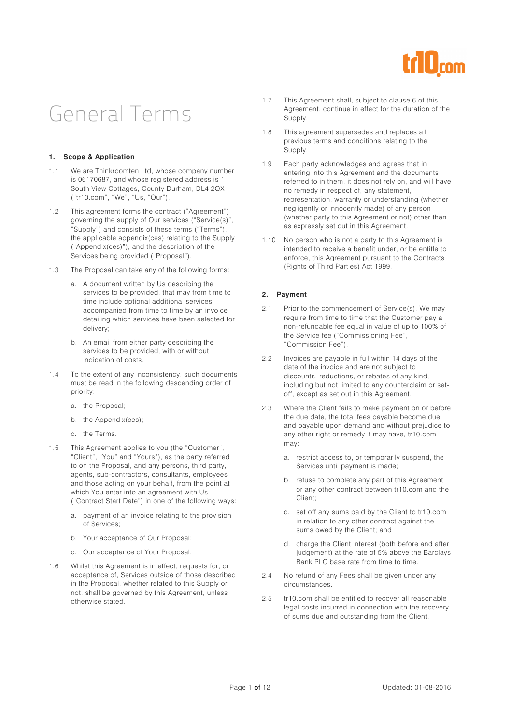

## General Terms

#### **1. Scope & Application**

- 1.1 We are Thinkroomten Ltd, whose company number is 06170687, and whose registered address is 1 South View Cottages, County Durham, DL4 2QX ("tr10.com", "We", "Us, "Our").
- 1.2 This agreement forms the contract ("Agreement") governing the supply of Our services ("Service(s)", "Supply") and consists of these terms ("Terms"), the applicable appendix(ces) relating to the Supply ("Appendix(ces)"), and the description of the Services being provided ("Proposal").
- 1.3 The Proposal can take any of the following forms:
	- a. A document written by Us describing the services to be provided, that may from time to time include optional additional services, accompanied from time to time by an invoice detailing which services have been selected for delivery;
	- b. An email from either party describing the services to be provided, with or without indication of costs.
- 1.4 To the extent of any inconsistency, such documents must be read in the following descending order of priority:
	- a. the Proposal;
	- b. the Appendix(ces);
	- c. the Terms.
- 1.5 This Agreement applies to you (the "Customer", "Client", "You" and "Yours"), as the party referred to on the Proposal, and any persons, third party, agents, sub-contractors, consultants, employees and those acting on your behalf, from the point at which You enter into an agreement with Us ("Contract Start Date") in one of the following ways:
	- a. payment of an invoice relating to the provision of Services;
	- b. Your acceptance of Our Proposal;
	- c. Our acceptance of Your Proposal.
- 1.6 Whilst this Agreement is in effect, requests for, or acceptance of, Services outside of those described in the Proposal, whether related to this Supply or not, shall be governed by this Agreement, unless otherwise stated.
- 1.7 This Agreement shall, subject to clause 6 of this Agreement, continue in effect for the duration of the Supply.
- 1.8 This agreement supersedes and replaces all previous terms and conditions relating to the Supply.
- 1.9 Each party acknowledges and agrees that in entering into this Agreement and the documents referred to in them, it does not rely on, and will have no remedy in respect of, any statement, representation, warranty or understanding (whether negligently or innocently made) of any person (whether party to this Agreement or not) other than as expressly set out in this Agreement.
- 1.10 No person who is not a party to this Agreement is intended to receive a benefit under, or be entitle to enforce, this Agreement pursuant to the Contracts (Rights of Third Parties) Act 1999.

#### **2. Payment**

- 2.1 Prior to the commencement of Service(s), We may require from time to time that the Customer pay a non-refundable fee equal in value of up to 100% of the Service fee ("Commissioning Fee", "Commission Fee").
- 2.2 Invoices are payable in full within 14 days of the date of the invoice and are not subject to discounts, reductions, or rebates of any kind, including but not limited to any counterclaim or setoff, except as set out in this Agreement.
- 2.3 Where the Client fails to make payment on or before the due date, the total fees payable become due and payable upon demand and without prejudice to any other right or remedy it may have, tr10.com may:
	- a. restrict access to, or temporarily suspend, the Services until payment is made;
	- b. refuse to complete any part of this Agreement or any other contract between tr10.com and the Client;
	- c. set off any sums paid by the Client to tr10.com in relation to any other contract against the sums owed by the Client; and
	- d. charge the Client interest (both before and after judgement) at the rate of 5% above the Barclays Bank PLC base rate from time to time.
- 2.4 No refund of any Fees shall be given under any circumstances.
- 2.5 tr10.com shall be entitled to recover all reasonable legal costs incurred in connection with the recovery of sums due and outstanding from the Client.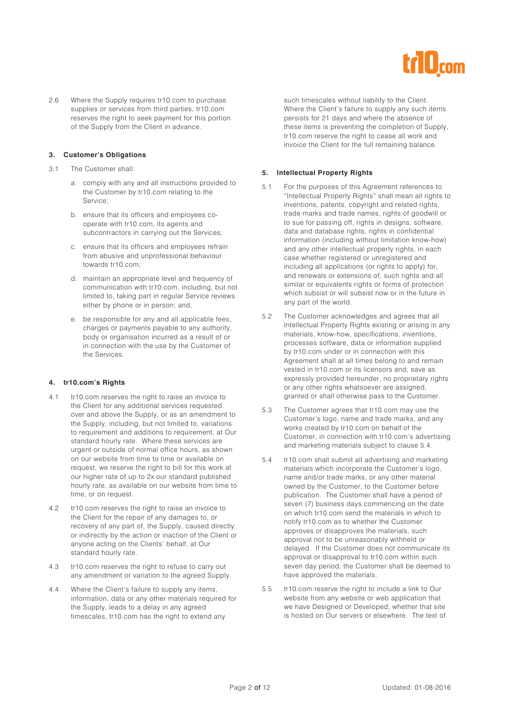

2.6 Where the Supply requires tr10.com to purchase supplies or services from third parties, tr10.com reserves the right to seek payment for this portion of the Supply from the Client in advance.

#### **3. Customer's Obligations**

- 3.1 The Customer shall:
	- a. comply with any and all instructions provided to the Customer by tr10.com relating to the Service;
	- b. ensure that its officers and employees cooperate with tr10.com, its agents and subcontractors in carrying out the Services;
	- c. ensure that its officers and employees refrain from abusive and unprofessional behaviour towards tr10.com;
	- d. maintain an appropriate level and frequency of communication with tr10.com, including, but not limited to, taking part in regular Service reviews either by phone or in person; and,
	- e. be responsible for any and all applicable fees, charges or payments payable to any authority, body or organisation incurred as a result of or in connection with the use by the Customer of the Services.

#### **4. tr10.com's Rights**

- 4.1 tr10.com reserves the right to raise an invoice to the Client for any additional services requested over and above the Supply, or as an amendment to the Supply, including, but not limited to, variations to requirement and additions to requirement, at Our standard hourly rate. Where these services are urgent or outside of normal office hours, as shown on our website from time to time or available on request, we reserve the right to bill for this work at our higher rate of up to 2x our standard published hourly rate, as available on our website from time to time, or on request.
- 4.2 tr10.com reserves the right to raise an invoice to the Client for the repair of any damages to, or recovery of any part of, the Supply, caused directly or indirectly by the action or inaction of the Client or anyone acting on the Clients' behalf, at Our standard hourly rate.
- 4.3 tr10.com reserves the right to refuse to carry out any amendment or variation to the agreed Supply.
- 4.4 Where the Client's failure to supply any items, information, data or any other materials required for the Supply, leads to a delay in any agreed timescales, tr10.com has the right to extend any

such timescales without liability to the Client. Where the Client's failure to supply any such items persists for 21 days and where the absence of these items is preventing the completion of Supply, tr10.com reserve the right to cease all work and invoice the Client for the full remaining balance.

#### **5. Intellectual Property Rights**

- 5.1 For the purposes of this Agreement references to "Intellectual Property Rights" shall mean all rights to inventions, patents, copyright and related rights, trade marks and trade names, rights of goodwill or to sue for passing off, rights in designs, software, data and database rights, rights in confidential information (including without limitation know-how) and any other intellectual property rights, in each case whether registered or unregistered and including all applications (or rights to apply) for, and renewals or extensions of, such rights and all similar or equivalents rights or forms of protection which subsist or will subsist now or in the future in any part of the world.
- 5.2 The Customer acknowledges and agrees that all Intellectual Property Rights existing or arising in any materials, know-how, specifications, inventions, processes software, data or information supplied by tr10.com under or in connection with this Agreement shall at all times belong to and remain vested in tr10.com or its licensors and, save as expressly provided hereunder, no proprietary rights or any other rights whatsoever are assigned, granted or shall otherwise pass to the Customer.
- 5.3 The Customer agrees that tr10.com may use the Customer's logo, name and trade marks, and any works created by tr10.com on behalf of the Customer, in connection with tr10.com's advertising and marketing materials subject to clause 5.4.
- 5.4 tr10.com shall submit all advertising and marketing materials which incorporate the Customer's logo, name and/or trade marks, or any other material owned by the Customer, to the Customer before publication. The Customer shall have a period of seven (7) business days commencing on the date on which tr10.com send the materials in which to notify tr10.com as to whether the Customer approves or disapproves the materials, such approval not to be unreasonably withheld or delayed. If the Customer does not communicate its approval or disapproval to tr10.com within such seven day period, the Customer shall be deemed to have approved the materials.
- 5.5 tr10.com reserve the right to include a link to Our website from any website or web application that we have Designed or Developed, whether that site is hosted on Our servers or elsewhere. The text of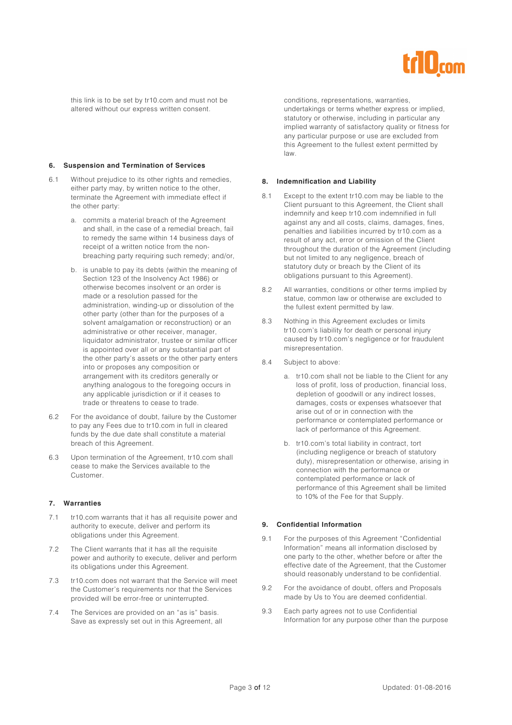

this link is to be set by tr10.com and must not be altered without our express written consent.

#### **6. Suspension and Termination of Services**

- 6.1 Without prejudice to its other rights and remedies, either party may, by written notice to the other, terminate the Agreement with immediate effect if the other party:
	- a. commits a material breach of the Agreement and shall, in the case of a remedial breach, fail to remedy the same within 14 business days of receipt of a written notice from the nonbreaching party requiring such remedy; and/or,
	- b. is unable to pay its debts (within the meaning of Section 123 of the Insolvency Act 1986) or otherwise becomes insolvent or an order is made or a resolution passed for the administration, winding-up or dissolution of the other party (other than for the purposes of a solvent amalgamation or reconstruction) or an administrative or other receiver, manager, liquidator administrator, trustee or similar officer is appointed over all or any substantial part of the other party's assets or the other party enters into or proposes any composition or arrangement with its creditors generally or anything analogous to the foregoing occurs in any applicable jurisdiction or if it ceases to trade or threatens to cease to trade.
- 6.2 For the avoidance of doubt, failure by the Customer to pay any Fees due to tr10.com in full in cleared funds by the due date shall constitute a material breach of this Agreement.
- 6.3 Upon termination of the Agreement, tr10.com shall cease to make the Services available to the Customer.

#### **7. Warranties**

- 7.1 tr10.com warrants that it has all requisite power and authority to execute, deliver and perform its obligations under this Agreement.
- 7.2 The Client warrants that it has all the requisite power and authority to execute, deliver and perform its obligations under this Agreement.
- 7.3 tr10.com does not warrant that the Service will meet the Customer's requirements nor that the Services provided will be error-free or uninterrupted.
- 7.4 The Services are provided on an "as is" basis. Save as expressly set out in this Agreement, all

conditions, representations, warranties, undertakings or terms whether express or implied, statutory or otherwise, including in particular any implied warranty of satisfactory quality or fitness for any particular purpose or use are excluded from this Agreement to the fullest extent permitted by law.

#### **8. Indemnification and Liability**

- 8.1 Except to the extent tr10.com may be liable to the Client pursuant to this Agreement, the Client shall indemnify and keep tr10.com indemnified in full against any and all costs, claims, damages, fines, penalties and liabilities incurred by tr10.com as a result of any act, error or omission of the Client throughout the duration of the Agreement (including but not limited to any negligence, breach of statutory duty or breach by the Client of its obligations pursuant to this Agreement).
- 8.2 All warranties, conditions or other terms implied by statue, common law or otherwise are excluded to the fullest extent permitted by law.
- 8.3 Nothing in this Agreement excludes or limits tr10.com's liability for death or personal injury caused by tr10.com's negligence or for fraudulent misrepresentation.
- 8.4 Subject to above:
	- a. tr10.com shall not be liable to the Client for any loss of profit, loss of production, financial loss, depletion of goodwill or any indirect losses, damages, costs or expenses whatsoever that arise out of or in connection with the performance or contemplated performance or lack of performance of this Agreement.
	- b. tr10.com's total liability in contract, tort (including negligence or breach of statutory duty), misrepresentation or otherwise, arising in connection with the performance or contemplated performance or lack of performance of this Agreement shall be limited to 10% of the Fee for that Supply.

#### **9. Confidential Information**

- 9.1 For the purposes of this Agreement "Confidential Information" means all information disclosed by one party to the other, whether before or after the effective date of the Agreement, that the Customer should reasonably understand to be confidential.
- 9.2 For the avoidance of doubt, offers and Proposals made by Us to You are deemed confidential.
- 9.3 Each party agrees not to use Confidential Information for any purpose other than the purpose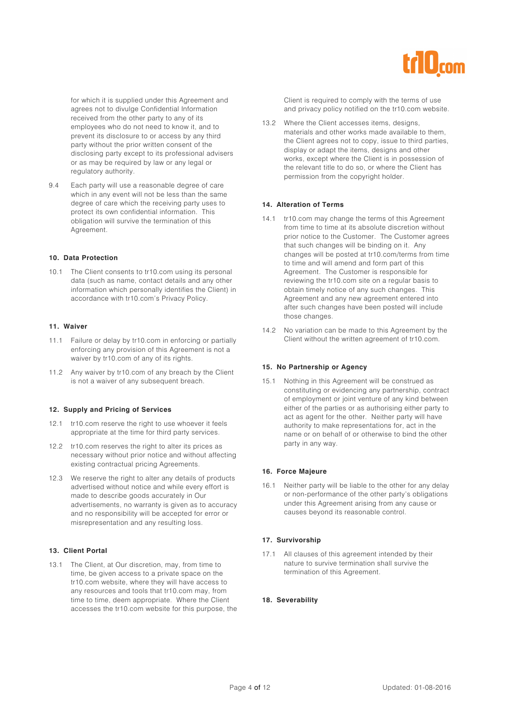

for which it is supplied under this Agreement and agrees not to divulge Confidential Information received from the other party to any of its employees who do not need to know it, and to prevent its disclosure to or access by any third party without the prior written consent of the disclosing party except to its professional advisers or as may be required by law or any legal or regulatory authority.

9.4 Each party will use a reasonable degree of care which in any event will not be less than the same degree of care which the receiving party uses to protect its own confidential information. This obligation will survive the termination of this Agreement.

#### **10. Data Protection**

10.1 The Client consents to tr10.com using its personal data (such as name, contact details and any other information which personally identifies the Client) in accordance with tr10.com's Privacy Policy.

#### **11. Waiver**

- 11.1 Failure or delay by tr10.com in enforcing or partially enforcing any provision of this Agreement is not a waiver by tr10.com of any of its rights.
- 11.2 Any waiver by tr10.com of any breach by the Client is not a waiver of any subsequent breach.

#### **12. Supply and Pricing of Services**

- 12.1 tr10.com reserve the right to use whoever it feels appropriate at the time for third party services.
- 12.2 tr10.com reserves the right to alter its prices as necessary without prior notice and without affecting existing contractual pricing Agreements.
- 12.3 We reserve the right to alter any details of products advertised without notice and while every effort is made to describe goods accurately in Our advertisements, no warranty is given as to accuracy and no responsibility will be accepted for error or misrepresentation and any resulting loss.

#### **13. Client Portal**

13.1 The Client, at Our discretion, may, from time to time, be given access to a private space on the tr10.com website, where they will have access to any resources and tools that tr10.com may, from time to time, deem appropriate. Where the Client accesses the tr10.com website for this purpose, the Client is required to comply with the terms of use and privacy policy notified on the tr10.com website.

13.2 Where the Client accesses items, designs, materials and other works made available to them, the Client agrees not to copy, issue to third parties, display or adapt the items, designs and other works, except where the Client is in possession of the relevant title to do so, or where the Client has permission from the copyright holder.

#### **14. Alteration of Terms**

- 14.1 tr10.com may change the terms of this Agreement from time to time at its absolute discretion without prior notice to the Customer. The Customer agrees that such changes will be binding on it. Any changes will be posted at tr10.com/terms from time to time and will amend and form part of this Agreement. The Customer is responsible for reviewing the tr10.com site on a regular basis to obtain timely notice of any such changes. This Agreement and any new agreement entered into after such changes have been posted will include those changes.
- 14.2 No variation can be made to this Agreement by the Client without the written agreement of tr10.com.

#### **15. No Partnership or Agency**

15.1 Nothing in this Agreement will be construed as constituting or evidencing any partnership, contract of employment or joint venture of any kind between either of the parties or as authorising either party to act as agent for the other. Neither party will have authority to make representations for, act in the name or on behalf of or otherwise to bind the other party in any way.

#### **16. Force Majeure**

16.1 Neither party will be liable to the other for any delay or non-performance of the other party's obligations under this Agreement arising from any cause or causes beyond its reasonable control.

#### **17. Survivorship**

17.1 All clauses of this agreement intended by their nature to survive termination shall survive the termination of this Agreement.

#### **18. Severability**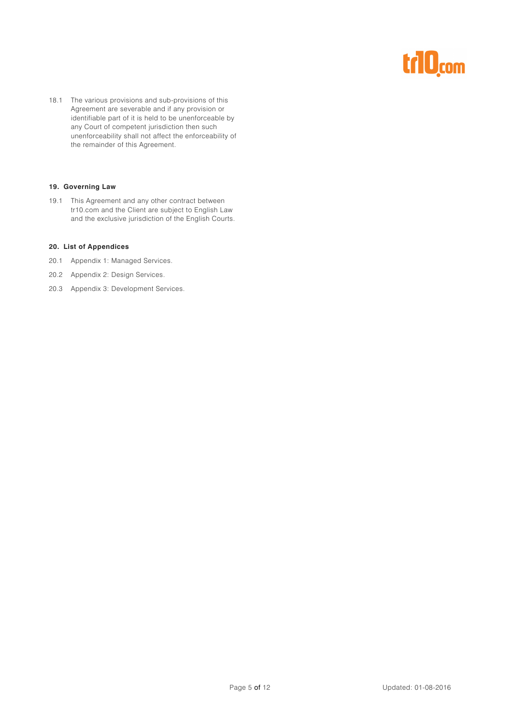# r10<sub>com</sub>

18.1 The various provisions and sub-provisions of this Agreement are severable and if any provision or identifiable part of it is held to be unenforceable by any Court of competent jurisdiction then such unenforceability shall not affect the enforceability of the remainder of this Agreement.

#### **19. Governing Law**

19.1 This Agreement and any other contract between tr10.com and the Client are subject to English Law and the exclusive jurisdiction of the English Courts.

#### **20. List of Appendices**

- 20.1 Appendix 1: Managed Services.
- 20.2 Appendix 2: Design Services.
- 20.3 Appendix 3: Development Services.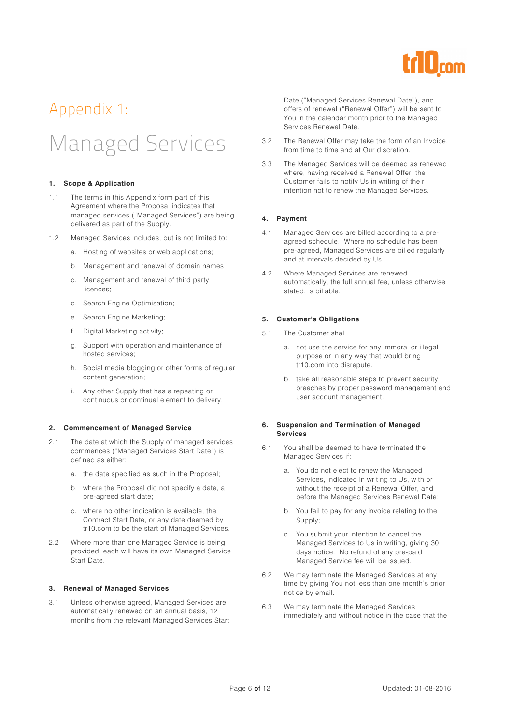

### Appendix 1:

# Managed Services

#### **1. Scope & Application**

- 1.1 The terms in this Appendix form part of this Agreement where the Proposal indicates that managed services ("Managed Services") are being delivered as part of the Supply.
- 1.2 Managed Services includes, but is not limited to:
	- a. Hosting of websites or web applications;
	- b. Management and renewal of domain names;
	- c. Management and renewal of third party licences;
	- d. Search Engine Optimisation;
	- e. Search Engine Marketing;
	- f. Digital Marketing activity;
	- g. Support with operation and maintenance of hosted services;
	- h. Social media blogging or other forms of regular content generation;
	- i. Any other Supply that has a repeating or continuous or continual element to delivery.

#### **2. Commencement of Managed Service**

- 2.1 The date at which the Supply of managed services commences ("Managed Services Start Date") is defined as either:
	- a. the date specified as such in the Proposal;
	- b. where the Proposal did not specify a date, a pre-agreed start date;
	- c. where no other indication is available, the Contract Start Date, or any date deemed by tr10.com to be the start of Managed Services.
- 2.2 Where more than one Managed Service is being provided, each will have its own Managed Service Start Date.

#### **3. Renewal of Managed Services**

3.1 Unless otherwise agreed, Managed Services are automatically renewed on an annual basis, 12 months from the relevant Managed Services Start Date ("Managed Services Renewal Date"), and offers of renewal ("Renewal Offer") will be sent to You in the calendar month prior to the Managed Services Renewal Date.

- 3.2 The Renewal Offer may take the form of an Invoice, from time to time and at Our discretion.
- 3.3 The Managed Services will be deemed as renewed where, having received a Renewal Offer, the Customer fails to notify Us in writing of their intention not to renew the Managed Services.

#### **4. Payment**

- 4.1 Managed Services are billed according to a preagreed schedule. Where no schedule has been pre-agreed, Managed Services are billed regularly and at intervals decided by Us.
- 4.2 Where Managed Services are renewed automatically, the full annual fee, unless otherwise stated, is billable.

#### **5. Customer's Obligations**

- 5.1 The Customer shall:
	- a. not use the service for any immoral or illegal purpose or in any way that would bring tr10.com into disrepute.
	- b. take all reasonable steps to prevent security breaches by proper password management and user account management.

#### **6. Suspension and Termination of Managed Services**

- 6.1 You shall be deemed to have terminated the Managed Services if:
	- a. You do not elect to renew the Managed Services, indicated in writing to Us, with or without the receipt of a Renewal Offer, and before the Managed Services Renewal Date;
	- b. You fail to pay for any invoice relating to the Supply;
	- c. You submit your intention to cancel the Managed Services to Us in writing, giving 30 days notice. No refund of any pre-paid Managed Service fee will be issued.
- 6.2 We may terminate the Managed Services at any time by giving You not less than one month's prior notice by email.
- 6.3 We may terminate the Managed Services immediately and without notice in the case that the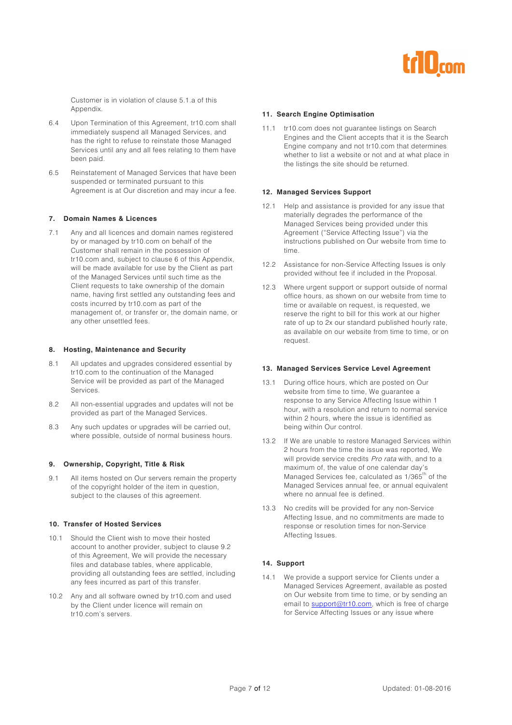

Customer is in violation of clause 5.1.a of this Appendix.

- 6.4 Upon Termination of this Agreement, tr10.com shall immediately suspend all Managed Services, and has the right to refuse to reinstate those Managed Services until any and all fees relating to them have been paid.
- 6.5 Reinstatement of Managed Services that have been suspended or terminated pursuant to this Agreement is at Our discretion and may incur a fee.

#### **7. Domain Names & Licences**

7.1 Any and all licences and domain names registered by or managed by tr10.com on behalf of the Customer shall remain in the possession of tr10.com and, subject to clause 6 of this Appendix, will be made available for use by the Client as part of the Managed Services until such time as the Client requests to take ownership of the domain name, having first settled any outstanding fees and costs incurred by tr10.com as part of the management of, or transfer or, the domain name, or any other unsettled fees.

#### **8. Hosting, Maintenance and Security**

- 8.1 All updates and upgrades considered essential by tr10.com to the continuation of the Managed Service will be provided as part of the Managed Services.
- 8.2 All non-essential upgrades and updates will not be provided as part of the Managed Services.
- 8.3 Any such updates or upgrades will be carried out, where possible, outside of normal business hours.

#### **9. Ownership, Copyright, Title & Risk**

9.1 All items hosted on Our servers remain the property of the copyright holder of the item in question, subject to the clauses of this agreement.

#### **10. Transfer of Hosted Services**

- 10.1 Should the Client wish to move their hosted account to another provider, subject to clause 9.2 of this Agreement, We will provide the necessary files and database tables, where applicable, providing all outstanding fees are settled, including any fees incurred as part of this transfer.
- 10.2 Any and all software owned by tr10.com and used by the Client under licence will remain on tr10.com's servers.

#### **11. Search Engine Optimisation**

11.1 tr10.com does not guarantee listings on Search Engines and the Client accepts that it is the Search Engine company and not tr10.com that determines whether to list a website or not and at what place in the listings the site should be returned.

#### **12. Managed Services Support**

- 12.1 Help and assistance is provided for any issue that materially degrades the performance of the Managed Services being provided under this Agreement ("Service Affecting Issue") via the instructions published on Our website from time to time.
- 12.2 Assistance for non-Service Affecting Issues is only provided without fee if included in the Proposal.
- 12.3 Where urgent support or support outside of normal office hours, as shown on our website from time to time or available on request, is requested, we reserve the right to bill for this work at our higher rate of up to 2x our standard published hourly rate, as available on our website from time to time, or on request.

#### **13. Managed Services Service Level Agreement**

- 13.1 During office hours, which are posted on Our website from time to time, We guarantee a response to any Service Affecting Issue within 1 hour, with a resolution and return to normal service within 2 hours, where the issue is identified as being within Our control.
- 13.2 If We are unable to restore Managed Services within 2 hours from the time the issue was reported, We will provide service credits Pro rata with, and to a maximum of, the value of one calendar day's Managed Services fee, calculated as 1/365<sup>th</sup> of the Managed Services annual fee, or annual equivalent where no annual fee is defined.
- 13.3 No credits will be provided for any non-Service Affecting Issue, and no commitments are made to response or resolution times for non-Service Affecting Issues.

#### **14. Support**

14.1 We provide a support service for Clients under a Managed Services Agreement, available as posted on Our website from time to time, or by sending an email to support@tr10.com, which is free of charge for Service Affecting Issues or any issue where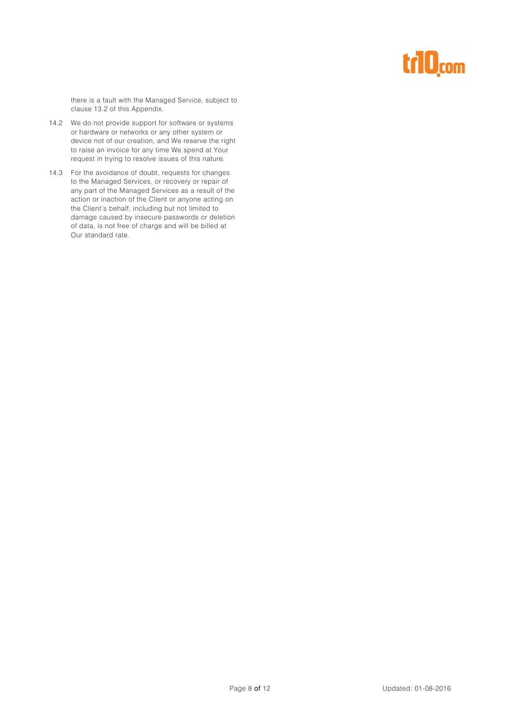# trl0<sub>com</sub>

there is a fault with the Managed Service, subject to clause 13.2 of this Appendix.

- 14.2 We do not provide support for software or systems or hardware or networks or any other system or device not of our creation, and We reserve the right to raise an invoice for any time We spend at Your request in trying to resolve issues of this nature.
- 14.3 For the avoidance of doubt, requests for changes to the Managed Services, or recovery or repair of any part of the Managed Services as a result of the action or inaction of the Client or anyone acting on the Client's behalf, including but not limited to damage caused by insecure passwords or deletion of data, is not free of charge and will be billed at Our standard rate.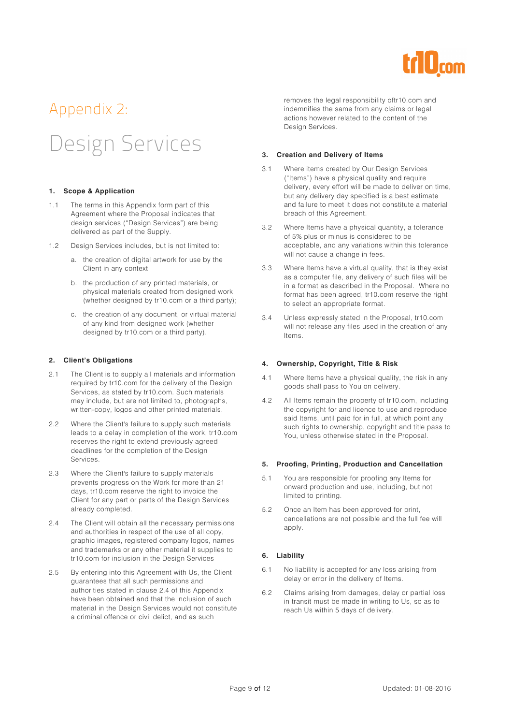

# Appendix 2:

# Design Services

#### **1. Scope & Application**

- 1.1 The terms in this Appendix form part of this Agreement where the Proposal indicates that design services ("Design Services") are being delivered as part of the Supply.
- 1.2 Design Services includes, but is not limited to:
	- a. the creation of digital artwork for use by the Client in any context;
	- b. the production of any printed materials, or physical materials created from designed work (whether designed by tr10.com or a third party);
	- c. the creation of any document, or virtual material of any kind from designed work (whether designed by tr10.com or a third party).

#### **2. Client's Obligations**

- 2.1 The Client is to supply all materials and information required by tr10.com for the delivery of the Design Services, as stated by tr10.com. Such materials may include, but are not limited to, photographs, written-copy, logos and other printed materials.
- 2.2 Where the Client's failure to supply such materials leads to a delay in completion of the work, tr10.com reserves the right to extend previously agreed deadlines for the completion of the Design Services.
- 2.3 Where the Client's failure to supply materials prevents progress on the Work for more than 21 days, tr10.com reserve the right to invoice the Client for any part or parts of the Design Services already completed.
- 2.4 The Client will obtain all the necessary permissions and authorities in respect of the use of all copy, graphic images, registered company logos, names and trademarks or any other material it supplies to tr10.com for inclusion in the Design Services
- 2.5 By entering into this Agreement with Us, the Client guarantees that all such permissions and authorities stated in clause 2.4 of this Appendix have been obtained and that the inclusion of such material in the Design Services would not constitute a criminal offence or civil delict, and as such

removes the legal responsibility oftr10.com and indemnifies the same from any claims or legal actions however related to the content of the Design Services.

#### **3. Creation and Delivery of Items**

- 3.1 Where items created by Our Design Services ("Items") have a physical quality and require delivery, every effort will be made to deliver on time, but any delivery day specified is a best estimate and failure to meet it does not constitute a material breach of this Agreement.
- 3.2 Where Items have a physical quantity, a tolerance of 5% plus or minus is considered to be acceptable, and any variations within this tolerance will not cause a change in fees.
- 3.3 Where Items have a virtual quality, that is they exist as a computer file, any delivery of such files will be in a format as described in the Proposal. Where no format has been agreed, tr10.com reserve the right to select an appropriate format.
- 3.4 Unless expressly stated in the Proposal, tr10.com will not release any files used in the creation of any Items.

#### **4. Ownership, Copyright, Title & Risk**

- 4.1 Where Items have a physical quality, the risk in any goods shall pass to You on delivery.
- 4.2 All Items remain the property of tr10.com, including the copyright for and licence to use and reproduce said Items, until paid for in full, at which point any such rights to ownership, copyright and title pass to You, unless otherwise stated in the Proposal.

#### **5. Proofing, Printing, Production and Cancellation**

- 5.1 You are responsible for proofing any Items for onward production and use, including, but not limited to printing.
- 5.2 Once an Item has been approved for print, cancellations are not possible and the full fee will apply.

#### **6. Liability**

- 6.1 No liability is accepted for any loss arising from delay or error in the delivery of Items.
- 6.2 Claims arising from damages, delay or partial loss in transit must be made in writing to Us, so as to reach Us within 5 days of delivery.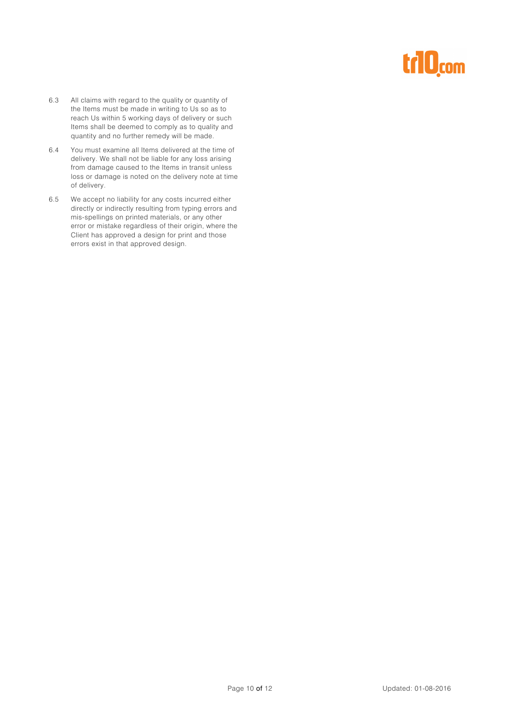# trl0<sub>com</sub>

- 6.3 All claims with regard to the quality or quantity of the Items must be made in writing to Us so as to reach Us within 5 working days of delivery or such Items shall be deemed to comply as to quality and quantity and no further remedy will be made.
- 6.4 You must examine all Items delivered at the time of delivery. We shall not be liable for any loss arising from damage caused to the Items in transit unless loss or damage is noted on the delivery note at time of delivery.
- 6.5 We accept no liability for any costs incurred either directly or indirectly resulting from typing errors and mis-spellings on printed materials, or any other error or mistake regardless of their origin, where the Client has approved a design for print and those errors exist in that approved design.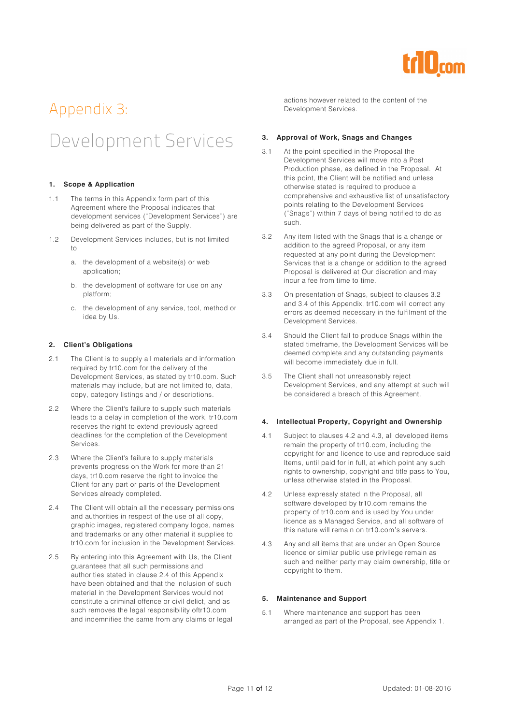

### Appendix 3: Development Services

#### **1. Scope & Application**

- 1.1 The terms in this Appendix form part of this Agreement where the Proposal indicates that development services ("Development Services") are being delivered as part of the Supply.
- 1.2 Development Services includes, but is not limited to:
	- a. the development of a website(s) or web application;
	- b. the development of software for use on any platform;
	- c. the development of any service, tool, method or idea by Us.

#### **2. Client's Obligations**

- 2.1 The Client is to supply all materials and information required by tr10.com for the delivery of the Development Services, as stated by tr10.com. Such materials may include, but are not limited to, data, copy, category listings and / or descriptions.
- 2.2 Where the Client's failure to supply such materials leads to a delay in completion of the work, tr10.com reserves the right to extend previously agreed deadlines for the completion of the Development Services.
- 2.3 Where the Client's failure to supply materials prevents progress on the Work for more than 21 days, tr10.com reserve the right to invoice the Client for any part or parts of the Development Services already completed.
- 2.4 The Client will obtain all the necessary permissions and authorities in respect of the use of all copy, graphic images, registered company logos, names and trademarks or any other material it supplies to tr10.com for inclusion in the Development Services.
- 2.5 By entering into this Agreement with Us, the Client guarantees that all such permissions and authorities stated in clause 2.4 of this Appendix have been obtained and that the inclusion of such material in the Development Services would not constitute a criminal offence or civil delict, and as such removes the legal responsibility oftr10.com and indemnifies the same from any claims or legal

actions however related to the content of the Development Services.

#### **3. Approval of Work, Snags and Changes**

- 3.1 At the point specified in the Proposal the Development Services will move into a Post Production phase, as defined in the Proposal. At this point, the Client will be notified and unless otherwise stated is required to produce a comprehensive and exhaustive list of unsatisfactory points relating to the Development Services ("Snags") within 7 days of being notified to do as such.
- 3.2 Any item listed with the Snags that is a change or addition to the agreed Proposal, or any item requested at any point during the Development Services that is a change or addition to the agreed Proposal is delivered at Our discretion and may incur a fee from time to time.
- 3.3 On presentation of Snags, subject to clauses 3.2 and 3.4 of this Appendix, tr10.com will correct any errors as deemed necessary in the fulfilment of the Development Services.
- 3.4 Should the Client fail to produce Snags within the stated timeframe, the Development Services will be deemed complete and any outstanding payments will become immediately due in full.
- 3.5 The Client shall not unreasonably reject Development Services, and any attempt at such will be considered a breach of this Agreement.

#### **4. Intellectual Property, Copyright and Ownership**

- 4.1 Subject to clauses 4.2 and 4.3, all developed items remain the property of tr10.com, including the copyright for and licence to use and reproduce said Items, until paid for in full, at which point any such rights to ownership, copyright and title pass to You, unless otherwise stated in the Proposal.
- 4.2 Unless expressly stated in the Proposal, all software developed by tr10.com remains the property of tr10.com and is used by You under licence as a Managed Service, and all software of this nature will remain on tr10.com's servers.
- 4.3 Any and all items that are under an Open Source licence or similar public use privilege remain as such and neither party may claim ownership, title or copyright to them.

#### **5. Maintenance and Support**

5.1 Where maintenance and support has been arranged as part of the Proposal, see Appendix 1.